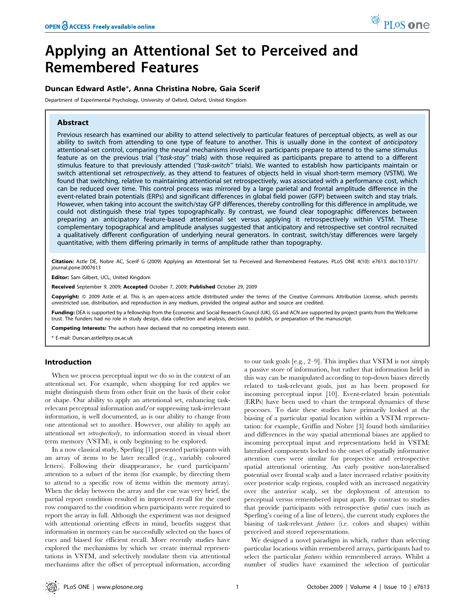# Applying an Attentional Set to Perceived and Remembered Features

# Duncan Edward Astle\*, Anna Christina Nobre, Gaia Scerif

Department of Experimental Psychology, University of Oxford, Oxford, United Kingdom

# Abstract

Previous research has examined our ability to attend selectively to particular features of perceptual objects, as well as our ability to switch from attending to one type of feature to another. This is usually done in the context of anticipatory attentional-set control, comparing the neural mechanisms involved as participants prepare to attend to the same stimulus feature as on the previous trial ("task-stay" trials) with those required as participants prepare to attend to a different stimulus feature to that previously attended ("task-switch" trials). We wanted to establish how participants maintain or switch attentional set retrospectively, as they attend to features of objects held in visual short-term memory (VSTM). We found that switching, relative to maintaining attentional set retrospectively, was associated with a performance cost, which can be reduced over time. This control process was mirrored by a large parietal and frontal amplitude difference in the event-related brain potentials (ERPs) and significant differences in global field power (GFP) between switch and stay trials. However, when taking into account the switch/stay GFP differences, thereby controlling for this difference in amplitude, we could not distinguish these trial types topographically. By contrast, we found clear topographic differences between preparing an anticipatory feature-based attentional set versus applying it retrospectively within VSTM. These complementary topographical and amplitude analyses suggested that anticipatory and retrospective set control recruited a qualitatively different configuration of underlying neural generators. In contrast, switch/stay differences were largely quantitative, with them differing primarily in terms of amplitude rather than topography.

Citation: Astle DE, Nobre AC, Scerif G (2009) Applying an Attentional Set to Perceived and Remembered Features. PLoS ONE 4(10): e7613. doi:10.1371/ journal.pone.0007613

Editor: Sam Gilbert, UCL, United Kingdom

Received September 9, 2009; Accepted October 7, 2009; Published October 29, 2009

Copyright: @ 2009 Astle et al. This is an open-access article distributed under the terms of the Creative Commons Attribution License, which permits unrestricted use, distribution, and reproduction in any medium, provided the original author and source are credited.

Funding: DEA is supported by a fellowship from the Economic and Social Research Council (UK), GS and ACN are supported by project grants from the Wellcome trust. The funders had no role in study design, data collection and analysis, decision to publish, or preparation of the manuscript.

Competing Interests: The authors have declared that no competing interests exist.

\* E-mail: Duncan.astle@psy.ox.ac.uk

# Introduction

When we process perceptual input we do so in the context of an attentional set. For example, when shopping for red apples we might distinguish them from other fruit on the basis of their color or shape. Our ability to apply an attentional set, enhancing taskrelevant perceptual information and/or suppressing task-irrelevant information, is well documented, as is our ability to change from one attentional set to another. However, our ability to apply an attentional set retrospectively, to information stored in visual short term memory (VSTM), is only beginning to be explored.

In a now classical study, Sperling [1] presented participants with an array of items to be later recalled (e.g., variably coloured letters). Following their disappearance, he cued participants' attention to a subset of the items (for example, by directing them to attend to a specific row of items within the memory array). When the delay between the array and the cue was very brief, the partial report condition resulted in improved recall for the cued row compared to the condition when participants were required to report the array in full. Although the experiment was not designed with attentional orienting effects in mind, benefits suggest that information in memory can be successfully selected on the bases of cues and biased for efficient recall. More recently studies have explored the mechanisms by which we create internal representations in VSTM, and selectively modulate them via attentional mechanisms after the offset of perceptual information, according

to our task goals [e.g., 2–9]. This implies that VSTM is not simply a passive store of information, but rather that information held in this way can be manipulated according to top-down biases directly related to task-relevant goals, just as has been proposed for incoming perceptual input [10]. Event-related brain potentials (ERPs) have been used to chart the temporal dynamics of these processes. To date these studies have primarily looked at the biasing of a particular spatial location within a VSTM representation: for example, Griffin and Nobre [3] found both similarities and differences in the way spatial attentional biases are applied to incoming perceptual input and representations held in VSTM; lateralised components locked to the onset of spatially informative attention cues were similar for prospective and retrospective spatial attentional orienting. An early positive non-lateralised potential over frontal scalp and a later increased relative positivity over posterior scalp regions, coupled with an increased negativity over the anterior scalp, set the deployment of attention to perceptual versus remembered input apart. By contrast to studies that provide participants with retrospective spatial cues (such as Sperling's cueing of a line of letters), the current study explores the biasing of task-relevant features (i.e. colors and shapes) within perceived and stored representations.

We designed a novel paradigm in which, rather than selecting particular locations within remembered arrays, participants had to select the particular *features* within remembered arrays. Whilst a number of studies have examined the selection of particular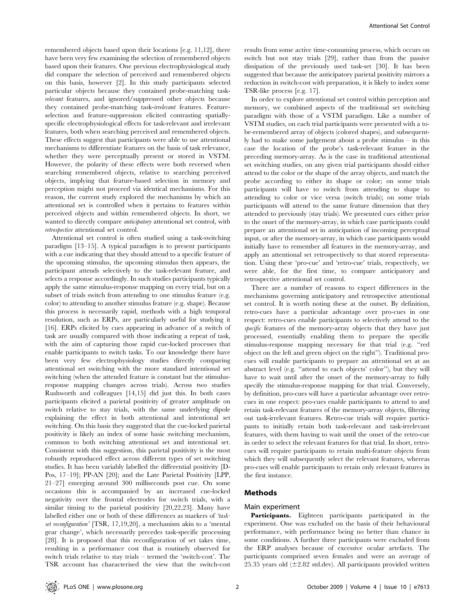remembered objects based upon their locations [e.g. 11,12], there have been very few examining the selection of remembered objects based upon their features. One previous electrophysiological study did compare the selection of perceived and remembered objects on this basis, however [2]. In this study participants selected particular objects because they contained probe-matching taskrelevant features, and ignored/suppressed other objects because they contained probe-matching task-*irrelevant* features. Featureselection and feature-suppression elicited contrasting spatiallyspecific electrophysiological effects for task-relevant and irrelevant features, both when searching perceived and remembered objects. These effects suggest that participants were able to use attentional mechanisms to differentiate features on the basis of task relevance, whether they were perceptually present or stored in VSTM. However, the polarity of these effects were both reversed when searching remembered objects, relative to searching perceived objects, implying that feature-based selection in memory and perception might not proceed via identical mechanisms. For this reason, the current study explored the mechanisms by which an attentional set is controlled when it pertains to features within perceived objects and within remembered objects. In short, we wanted to directly compare *anticipatory* attentional set control, with retrospective attentional set control.

Attentional set control is often studied using a task-switching paradigm [13–15]. A typical paradigm is to present participants with a cue indicating that they should attend to a specific feature of the upcoming stimulus, the upcoming stimulus then appears, the participant attends selectively to the task-relevant feature, and selects a response accordingly. In such studies participants typically apply the same stimulus-response mapping on every trial, but on a subset of trials switch from attending to one stimulus feature (e.g. color) to attending to another stimulus feature (e.g. shape). Because this process is necessarily rapid, methods with a high temporal resolution, such as ERPs, are particularly useful for studying it [16]. ERPs elicited by cues appearing in advance of a switch of task are usually compared with those indicating a repeat of task, with the aim of capturing those rapid cue-locked processes that enable participants to switch tasks. To our knowledge there have been very few electrophysiology studies directly comparing attentional set switching with the more standard intentional set switching (when the attended feature is constant but the stimulusresponse mapping changes across trials). Across two studies Rushworth and colleagues [14,15] did just this. In both cases participants elicited a parietal positivity of greater amplitude on switch relative to stay trials, with the same underlying dipole explaining the effect in both attentional and intentional set switching. On this basis they suggested that the cue-locked parietal positivity is likely an index of some basic switching mechanism, common to both switching attentional set and intentional set. Consistent with this suggestion, this parietal positivity is the most robustly reproduced effect across different types of set switching studies. It has been variably labelled the differential positivity [D-Pos, 17–19]; PP-AN [20]; and the Late Parietal Positivity [LPP, 21–27] emerging around 300 milliseconds post cue. On some occasions this is accompanied by an increased cue-locked negativity over the frontal electrodes for switch trials, with a similar timing to the parietal positivity [20,22,23]. Many have labelled either one or both of these differences as markers of 'taskset reconfiguration' [TSR, 17,19,20], a mechanism akin to a 'mental gear change', which necessarily precedes task-specific processing [28]. It is proposed that this reconfiguration of set takes time, resulting in a performance cost that is routinely observed for switch trials relative to stay trials – termed the 'switch-cost'. The TSR account has characterised the view that the switch-cost

results from some active time-consuming process, which occurs on switch but not stay trials [29], rather than from the passive dissipation of the previously used task-set [30]. It has been suggested that because the anticipatory parietal positivity mirrors a reduction in switch-cost with preparation, it is likely to index some TSR-like process [e.g. 17].

In order to explore attentional set control within perception and memory, we combined aspects of the traditional set switching paradigm with those of a VSTM paradigm. Like a number of VSTM studies, on each trial participants were presented with a tobe-remembered array of objects (colored shapes), and subsequently had to make some judgement about a probe stimulus – in this case the location of the probe's task-relevant feature in the preceding memory-array. As is the case in traditional attentional set switching studies, on any given trial participants should either attend to the color or the shape of the array objects, and match the probe according to either its shape or color; on some trials participants will have to switch from attending to shape to attending to color or vice versa (switch trials); on some trials participants will attend to the same feature dimension that they attended to previously (stay trials). We presented cues either prior to the onset of the memory-array, in which case participants could prepare an attentional set in anticipation of incoming perceptual input, or after the memory-array, in which case participants would initially have to remember all features in the memory-array, and apply an attentional set retrospectively to that stored representation. Using these 'pro-cue' and 'retro-cue' trials, respectively, we were able, for the first time, to compare anticipatory and retrospective attentional set control.

There are a number of reasons to expect differences in the mechanisms governing anticipatory and retrospective attentional set control. It is worth noting these at the outset. By definition, retro-cues have a particular advantage over pro-cues in one respect: retro-cues enable participants to selectively attend to the specific features of the memory-array objects that they have just processed, essentially enabling them to prepare the specific stimulus-response mapping necessary for that trial (e.g. ''red object on the left and green object on the right''). Traditional procues will enable participants to prepare an attentional set at an abstract level (e.g. ''attend to each objects' color''), but they will have to wait until after the onset of the memory-array to fully specify the stimulus-response mapping for that trial. Conversely, by definition, pro-cues will have a particular advantage over retrocues in one respect: pro-cues enable participants to attend to and retain task-relevant features of the memory-array objects, filtering out task-irrelevant features. Retro-cue trials will require participants to initially retain both task-relevant and task-irrelevant features, with them having to wait until the onset of the retro-cue in order to select the relevant features for that trial. In short, retrocues will require participants to retain multi-feature objects from which they will subsequently select the relevant features, whereas pro-cues will enable participants to retain only relevant features in the first instance.

## Methods

## Main experiment

Participants. Eighteen participants participated in the experiment. One was excluded on the basis of their behavioural performance, with performance being no better than chance in some conditions. A further three participants were excluded from the ERP analyses because of excessive ocular artefacts. The participants comprised seven females and were an average of 25.35 years old  $(\pm 2.82 \text{ std.}$ dev). All participants provided written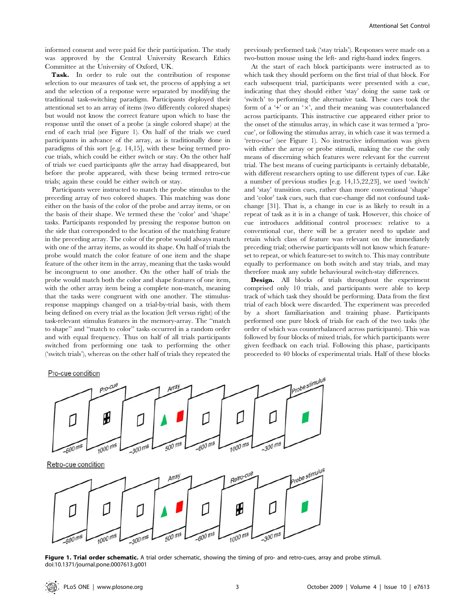informed consent and were paid for their participation. The study was approved by the Central University Research Ethics Committee at the University of Oxford, UK.

Task. In order to rule out the contribution of response selection to our measures of task set, the process of applying a set and the selection of a response were separated by modifying the traditional task-switching paradigm. Participants deployed their attentional set to an array of items (two differently colored shapes) but would not know the correct feature upon which to base the response until the onset of a probe (a single colored shape) at the end of each trial (see Figure 1). On half of the trials we cued participants in advance of the array, as is traditionally done in paradigms of this sort [e.g. 14,15], with these being termed procue trials, which could be either switch or stay. On the other half of trials we cued participants after the array had disappeared, but before the probe appeared, with these being termed retro-cue trials; again these could be either switch or stay.

Participants were instructed to match the probe stimulus to the preceding array of two colored shapes. This matching was done either on the basis of the color of the probe and array items, or on the basis of their shape. We termed these the 'color' and 'shape' tasks. Participants responded by pressing the response button on the side that corresponded to the location of the matching feature in the preceding array. The color of the probe would always match with one of the array items, as would its shape. On half of trials the probe would match the color feature of one item and the shape feature of the other item in the array, meaning that the tasks would be incongruent to one another. On the other half of trials the probe would match both the color and shape features of one item, with the other array item being a complete non-match, meaning that the tasks were congruent with one another. The stimulusresponse mappings changed on a trial-by-trial basis, with them being defined on every trial as the location (left versus right) of the task-relevant stimulus features in the memory-array. The ''match to shape'' and ''match to color'' tasks occurred in a random order and with equal frequency. Thus on half of all trials participants switched from performing one task to performing the other ('switch trials'), whereas on the other half of trials they repeated the

previously performed task ('stay trials'). Responses were made on a two-button mouse using the left- and right-hand index fingers.

At the start of each block participants were instructed as to which task they should perform on the first trial of that block. For each subsequent trial, participants were presented with a cue, indicating that they should either 'stay' doing the same task or 'switch' to performing the alternative task. These cues took the form of a  $\dot{+}$  or an  $\dot{\times}$ , and their meaning was counterbalanced across participants. This instructive cue appeared either prior to the onset of the stimulus array, in which case it was termed a 'procue', or following the stimulus array, in which case it was termed a 'retro-cue' (see Figure 1). No instructive information was given with either the array or probe stimuli, making the cue the only means of discerning which features were relevant for the current trial. The best means of cueing participants is certainly debatable, with different researchers opting to use different types of cue. Like a number of previous studies [e.g. 14,15,22,23], we used 'switch' and 'stay' transition cues, rather than more conventional 'shape' and 'color' task cues, such that cue-change did not confound taskchange [31]. That is, a change in cue is as likely to result in a repeat of task as it is in a change of task. However, this choice of cue introduces additional control processes: relative to a conventional cue, there will be a greater need to update and retain which class of feature was relevant on the immediately preceding trial; otherwise participants will not know which featureset to repeat, or which feature-set to switch to. This may contribute equally to performance on both switch and stay trials, and may therefore mask any subtle behavioural switch-stay differences.

Design. All blocks of trials throughout the experiment comprised only 10 trials, and participants were able to keep track of which task they should be performing. Data from the first trial of each block were discarded. The experiment was preceded by a short familiarisation and training phase. Participants performed one pure block of trials for each of the two tasks (the order of which was counterbalanced across participants). This was followed by four blocks of mixed trials, for which participants were given feedback on each trial. Following this phase, participants proceeded to 40 blocks of experimental trials. Half of these blocks

#### Pro-cue condition



Figure 1. Trial order schematic. A trial order schematic, showing the timing of pro- and retro-cues, array and probe stimuli. doi:10.1371/journal.pone.0007613.g001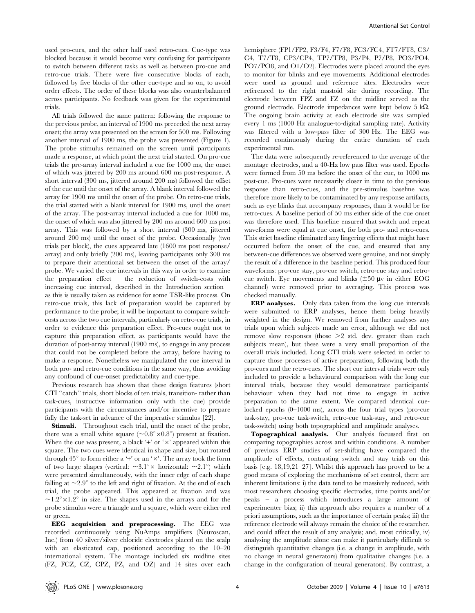used pro-cues, and the other half used retro-cues. Cue-type was blocked because it would become very confusing for participants to switch between different tasks as well as between pro-cue and retro-cue trials. There were five consecutive blocks of each, followed by five blocks of the other cue-type and so on, to avoid order effects. The order of these blocks was also counterbalanced across participants. No feedback was given for the experimental trials.

All trials followed the same pattern: following the response to the previous probe, an interval of 1900 ms preceded the next array onset; the array was presented on the screen for 500 ms. Following another interval of 1900 ms, the probe was presented (Figure 1). The probe stimulus remained on the screen until participants made a response, at which point the next trial started. On pro-cue trials the pre-array interval included a cue for 1000 ms, the onset of which was jittered by 200 ms around 600 ms post-response. A short interval (300 ms, jittered around 200 ms) followed the offset of the cue until the onset of the array. A blank interval followed the array for 1900 ms until the onset of the probe. On retro-cue trials, the trial started with a blank interval for 1900 ms, until the onset of the array. The post-array interval included a cue for 1000 ms, the onset of which was also jittered by 200 ms around 600 ms post array. This was followed by a short interval (300 ms, jittered around 200 ms) until the onset of the probe. Occasionally (two trials per block), the cues appeared late (1600 ms post response/ array) and only briefly (200 ms), leaving participants only 300 ms to prepare their attentional set between the onset of the array/ probe. We varied the cue intervals in this way in order to examine the preparation effect – the reduction of switch-costs with increasing cue interval, described in the Introduction section – as this is usually taken as evidence for some TSR-like process. On retro-cue trials, this lack of preparation would be captured by performance to the probe; it will be important to compare switchcosts across the two cue intervals, particularly on retro-cue trials, in order to evidence this preparation effect. Pro-cues ought not to capture this preparation effect, as participants would have the duration of post-array interval (1900 ms), to engage in any process that could not be completed before the array, before having to make a response. Nonetheless we manipulated the cue interval in both pro- and retro-cue conditions in the same way, thus avoiding any confound of cue-onset predictability and cue-type.

Previous research has shown that these design features (short CTI ''catch'' trials, short blocks of ten trials, transition- rather than task-cues, instructive information only with the cue) provide participants with the circumstances and/or incentive to prepare fully the task-set in advance of the imperative stimulus [22].

**Stimuli.** Throughout each trial, until the onset of the probe, there was a small white square  $(\sim 0.8^{\circ} \times 0.8^{\circ})$  present at fixation. When the cue was present, a black  $'$  or  $' \times'$  appeared within this square. The two cues were identical in shape and size, but rotated through  $45^\circ$  to form either a '+' or an ' $\times$ '. The array took the form of two large shapes (vertical:  $\sim 3.1^{\circ} \times$  horizontal:  $\sim 2.1^{\circ}$ ) which were presented simultaneously, with the inner edge of each shape falling at  $\sim$ 2.9° to the left and right of fixation. At the end of each trial, the probe appeared. This appeared at fixation and was  $\sim$ 1.2°  $\times$ 1.2° in size. The shapes used in the arrays and for the probe stimulus were a triangle and a square, which were either red or green.

EEG acquisition and preprocessing. The EEG was recorded continuously using NuAmps amplifiers (Neuroscan, Inc.) from 40 silver/silver chloride electrodes placed on the scalp with an elasticated cap, positioned according to the 10–20 international system. The montage included six midline sites (FZ, FCZ, CZ, CPZ, PZ, and OZ) and 14 sites over each

hemisphere (FP1/FP2, F3/F4, F7/F8, FC3/FC4, FT7/FT8, C3/ C4, T7/T8, CP3/CP4, TP7/TP8, P3/P4, P7/P8, PO3/PO4, PO7/PO8, and O1/O2). Electrodes were placed around the eyes to monitor for blinks and eye movements. Additional electrodes were used as ground and reference sites. Electrodes were referenced to the right mastoid site during recording. The electrode between FPZ and FZ on the midline served as the ground electrode. Electrode impedances were kept below 5 k*V*. The ongoing brain activity at each electrode site was sampled every 1 ms (1000 Hz analogue-to-digital sampling rate). Activity was filtered with a low-pass filter of 300 Hz. The EEG was recorded continuously during the entire duration of each experimental run.

The data were subsequently re-referenced to the average of the montage electrodes, and a 40-Hz low pass filter was used. Epochs were formed from 50 ms before the onset of the cue, to 1000 ms post-cue. Pro-cues were necessarily closer in time to the previous response than retro-cues, and the pre-stimulus baseline was therefore more likely to be contaminated by any response artifacts, such as eye blinks that accompany responses, than it would be for retro-cues. A baseline period of 50 ms either side of the cue onset was therefore used. This baseline ensured that switch and repeat waveforms were equal at cue onset, for both pro- and retro-cues. This strict baseline eliminated any lingering effects that might have occurred before the onset of the cue, and ensured that any between-cue differences we observed were genuine, and not simply the result of a difference in the baseline period. This produced four waveforms: pro-cue stay, pro-cue switch, retro-cue stay and retrocue switch. Eye movements and blinks  $(\pm 50 \,\mu\text{V})$  in either EOG channel) were removed prior to averaging. This process was checked manually.

ERP analyses. Only data taken from the long cue intervals were submitted to ERP analyses, hence them being heavily weighted in the design. We removed from further analyses any trials upon which subjects made an error, although we did not remove slow responses (those  $\geq 2$  std. dev. greater than each subjects mean), but these were a very small proportion of the overall trials included. Long CTI trials were selected in order to capture those processes of active preparation, following both the pro-cues and the retro-cues. The short cue interval trials were only included to provide a behavioural comparison with the long cue interval trials, because they would demonstrate participants' behaviour when they had not time to engage in active preparation to the same extent. We compared identical cuelocked epochs (0–1000 ms), across the four trial types (pro-cue task-stay, pro-cue task-switch, retro-cue task-stay, and retro-cue task-switch) using both topographical and amplitude analyses.

Topographical analysis. Our analysis focussed first on comparing topographies across and within conditions. A number of previous ERP studies of set-shifting have compared the amplitude of effects, contrasting switch and stay trials on this basis [e.g. 18,19,21–27]. Whilst this approach has proved to be a good means of exploring the mechanisms of set control, there are inherent limitations: i) the data tend to be massively reduced, with most researchers choosing specific electrodes, time points and/or peaks – a process which introduces a large amount of experimenter bias; ii) this approach also requires a number of a priori assumptions, such as the importance of certain peaks; iii) the reference electrode will always remain the choice of the researcher, and could affect the result of any analysis; and, most critically, iv) analysing the amplitude alone can make it particularly difficult to distinguish quantitative changes (i.e. a change in amplitude, with no change in neural generators) from qualitative changes (i.e. a change in the configuration of neural generators). By contrast, a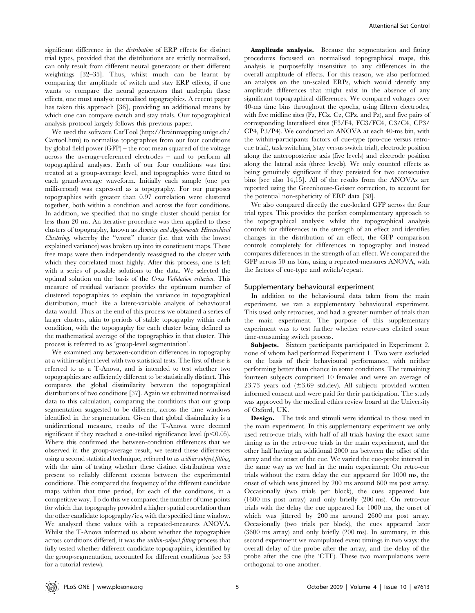significant difference in the distribution of ERP effects for distinct trial types, provided that the distributions are strictly normalised, can only result from different neural generators or their different weightings [32–35]. Thus, whilst much can be learnt by comparing the amplitude of switch and stay ERP effects, if one wants to compare the neural generators that underpin these effects, one must analyse normalised topographies. A recent paper has taken this approach [36], providing an additional means by which one can compare switch and stay trials. Our topographical analysis protocol largely follows this previous paper.

We used the software CarTool (http://brainmapping.unige.ch/ Cartool.htm) to normalise topographies from our four conditions by global field power (GFP) – the root mean squared of the voltage across the average-referenced electrodes – and to perform all topographical analyses. Each of our four conditions was first treated at a group-average level, and topographies were fitted to each grand-average waveform. Initially each sample (one per millisecond) was expressed as a topography. For our purposes topographies with greater than 0.97 correlation were clustered together, both within a condition and across the four conditions. In addition, we specified that no single cluster should persist for less than 20 ms. An iterative procedure was then applied to these clusters of topography, known as Atomize and Agglomerate Hierarchical Clustering, whereby the ''worst'' cluster (i.e. that with the lowest explained variance) was broken up into its constituent maps. These free maps were then independently reassigned to the cluster with which they correlated most highly. After this process, one is left with a series of possible solutions to the data. We selected the optimal solution on the basis of the Cross-Validation criterion. This measure of residual variance provides the optimum number of clustered topographies to explain the variance in topographical distribution, much like a latent-variable analysis of behavioural data would. Thus at the end of this process we obtained a series of larger clusters, akin to periods of stable topography within each condition, with the topography for each cluster being defined as the mathematical average of the topographies in that cluster. This process is referred to as 'group-level segmentation'.

We examined any between-condition differences in topography at a within-subject level with two statistical tests. The first of these is referred to as a T-Anova, and is intended to test whether two topographies are sufficiently different to be statistically distinct. This compares the global dissimilarity between the topographical distributions of two conditions [37]. Again we submitted normalised data to this calculation, comparing the conditions that our group segmentation suggested to be different, across the time windows identified in the segmentation. Given that global dissimilarity is a unidirectional measure, results of the T-Anova were deemed significant if they reached a one-tailed significance level  $(p<0.05)$ . Where this confirmed the between-condition differences that we observed in the group-average result, we tested these differences using a second statistical technique, referred to as within-subject fitting, with the aim of testing whether these distinct distributions were present to reliably different extents between the experimental conditions. This compared the frequency of the different candidate maps within that time period, for each of the conditions, in a competitive way. To do this we compared the number of time points for which that topography provided a higher spatial correlation than the other candidate topography/ies, with the specified time window. We analysed these values with a repeated-measures ANOVA. Whilst the T-Anova informed us about whether the topographies across conditions differed, it was the within-subject fitting process that fully tested whether different candidate topographies, identified by the group-segmentation, accounted for different conditions (see 33 for a tutorial review).

Amplitude analysis. Because the segmentation and fitting procedures focussed on normalised topographical maps, this analysis is purposefully insensitive to any differences in the overall amplitude of effects. For this reason, we also performed an analysis on the un-scaled ERPs, which would identify any amplitude differences that might exist in the absence of any significant topographical differences. We compared voltages over 40-ms time bins throughout the epochs, using fifteen electrodes, with five midline sites (Fz, FCz, Cz, CPz, and Pz), and five pairs of corresponding lateralised sites (F3/F4, FC3/FC4, C3/C4, CP3/ CP4, P3/P4). We conducted an ANOVA at each 40-ms bin, with the within-participants factors of cue-type (pro-cue versus retrocue trial), task-switching (stay versus switch trial), electrode position along the anteroposterior axis (five levels) and electrode position along the lateral axis (three levels). We only counted effects as being genuinely significant if they persisted for two consecutive bins [see also 14,15]. All of the results from the ANOVAs are reported using the Greenhouse-Geisser correction, to account for the potential non-sphericity of ERP data [38].

We also compared directly the cue-locked GFP across the four trial types. This provides the perfect complementary approach to the topographical analysis: whilst the topographical analysis controls for differences in the strength of an effect and identifies changes in the distribution of an effect, the GFP comparison controls completely for differences in topography and instead compares differences in the strength of an effect. We compared the GFP across 50 ms bins, using a repeated-measures ANOVA, with the factors of cue-type and switch/repeat.

#### Supplementary behavioural experiment

In addition to the behavioural data taken from the main experiment, we ran a supplementary behavioural experiment. This used only retrocues, and had a greater number of trials than the main experiment. The purpose of this supplementary experiment was to test further whether retro-cues elicited some time-consuming switch process.

Subjects. Sixteen participants participated in Experiment 2, none of whom had performed Experiment 1. Two were excluded on the basis of their behavioural performance, with neither performing better than chance in some conditions. The remaining fourteen subjects comprised 10 females and were an average of 23.73 years old  $(\pm 3.69 \text{ std.}$  dev). All subjects provided written informed consent and were paid for their participation. The study was approved by the medical ethics review board at the University of Oxford, UK.

Design. The task and stimuli were identical to those used in the main experiment. In this supplementary experiment we only used retro-cue trials, with half of all trials having the exact same timing as in the retro-cue trials in the main experiment, and the other half having an additional 2000 ms between the offset of the array and the onset of the cue. We varied the cue-probe interval in the same way as we had in the main experiment: On retro-cue trials without the extra delay the cue appeared for 1000 ms, the onset of which was jittered by 200 ms around 600 ms post array. Occasionally (two trials per block), the cues appeared late (1600 ms post array) and only briefly (200 ms). On retro-cue trials with the delay the cue appeared for 1000 ms, the onset of which was jittered by 200 ms around 2600 ms post array. Occasionally (two trials per block), the cues appeared later (3600 ms array) and only briefly (200 ms). In summary, in this second experiment we manipulated event timings in two ways: the overall delay of the probe after the array, and the delay of the probe after the cue (the 'CTI'). These two manipulations were orthogonal to one another.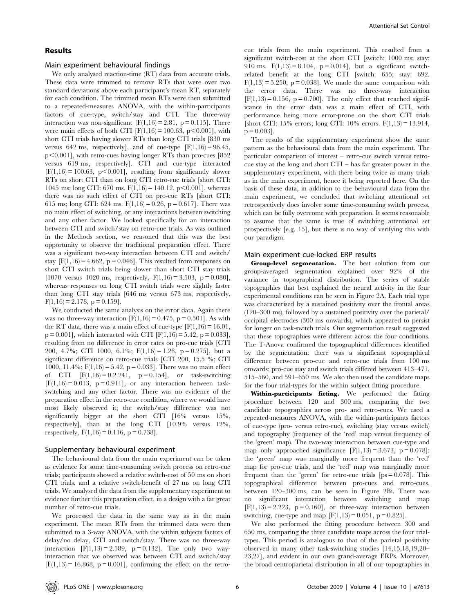# Results

## Main experiment behavioural findings

We only analysed reaction-time (RT) data from accurate trials. These data were trimmed to remove RTs that were over two standard deviations above each participant's mean RT, separately for each condition. The trimmed mean RTs were then submitted to a repeated-measures ANOVA, with the within-participants factors of cue-type, switch/stay and CTI. The three-way interaction was non-significant  $[F(1,16) = 2.81, p = 0.115]$ . There were main effects of both CTI  $[F(1,16) = 100.63, p < 0.001]$ , with short CTI trials having slower RTs than long CTI trials [830 ms versus 642 ms, respectively], and of cue-type  $[F(1,16) = 96.45,$ p<0.001], with retro-cues having longer RTs than pro-cues [852] versus 619 ms, respectively]. CTI and cue-type interacted  $[F(1,16) = 100.63, p < 0.001]$ , resulting from significantly slower RTs on short CTI than on long CTI retro-cue trials [short CTI: 1045 ms; long CTI: 670 ms.  $F(1,16) = 140.12$ , p $\leq 0.001$ ], whereas there was no such effect of CTI on pro-cue RTs [short CTI: 615 ms; long CTI: 624 ms.  $F(1,16) = 0.26$ , p = 0.617]. There was no main effect of switching, or any interactions between switching and any other factor. We looked specifically for an interaction between CTI and switch/stay on retro-cue trials. As was outlined in the Methods section, we reasoned that this was the best opportunity to observe the traditional preparation effect. There was a significant two-way interaction between CTI and switch/ stay  $[F(1,16) = 4.662, p = 0.046]$ . This resulted from responses on short CTI switch trials being slower than short CTI stay trials [1070 versus 1020 ms, respectively,  $F(1,16) = 3.503$ , p = 0.080], whereas responses on long CTI switch trials were slightly faster than long CTI stay trials [646 ms versus 673 ms, respectively,  $F(1,16) = 2.178$ ,  $p = 0.159$ .

We conducted the same analysis on the error data. Again there was no three-way interaction  $[F(1,16) = 0.475, p = 0.501]$ . As with the RT data, there was a main effect of cue-type  $[F(1,16) = 16.01]$ ,  $p = 0.001$ ], which interacted with CTI [F(1,16) = 5.42, p = 0.033], resulting from no difference in error rates on pro-cue trials [CTI 200, 4.7%; CTI 1000, 6.1%;  $F(1,16) = 1.28$ ,  $p = 0.275$ , but a significant difference on retro-cue trials [CTI 200, 15.5 %; CTI 1000, 11.4%;  $F(1,16) = 5.42$ ,  $p = 0.033$ ]. There was no main effect of CTI  $[F(1,16) = 0.2.241, p = 0.154]$ , or task-switching  $[F(1,16) = 0.013, p = 0.911]$ , or any interaction between taskswitching and any other factor. There was no evidence of the preparation effect in the retro-cue condition, where we would have most likely observed it; the switch/stay difference was not significantly bigger at the short CTI [16% versus 15%, respectively], than at the long CTI [10.9% versus 12%, respectively,  $F(1,16) = 0.116$ ,  $p = 0.738$ .

#### Supplementary behavioural experiment

The behavioural data from the main experiment can be taken as evidence for some time-consuming switch process on retro-cue trials; participants showed a relative switch-cost of 50 ms on short CTI trials, and a relative switch-benefit of 27 ms on long CTI trials. We analysed the data from the supplementary experiment to evidence further this preparation effect, in a design with a far great number of retro-cue trials.

We processed the data in the same way as in the main experiment. The mean RTs from the trimmed data were then submitted to a 3-way ANOVA, with the within subjects factors of delay/no delay, CTI and switch/stay. There was no three-way interaction  $[F(1,13) = 2.589, p = 0.132]$ . The only two wayinteraction that we observed was between CTI and switch/stay  $[F(1,13) = 16.868, p = 0.001]$ , confirming the effect on the retrocue trials from the main experiment. This resulted from a significant switch-cost at the short CTI [switch: 1000 ms; stay: 910 ms.  $F(1,13) = 8.104$ ,  $p = 0.014$ , but a significant switchrelated benefit at the long CTI [switch: 655; stay: 692.  $F(1,13) = 5.250$ ,  $p = 0.038$ . We made the same comparison with the error data. There was no three-way interaction  $[F(1,13) = 0.156, p = 0.700]$ . The only effect that reached significance in the error data was a main effect of CTI, with performance being more error-prone on the short CTI trials [short CTI: 15% errors; long CTI: 10% errors.  $F(1,13) = 13.914$ ,  $p = 0.003$ ].

The results of the supplementary experiment show the same pattern as the behavioural data from the main experiment. The particular comparison of interest – retro-cue switch versus retrocue stay at the long and short CTI – has far greater power in the supplementary experiment, with there being twice as many trials as in the main experiment, hence it being reported here. On the basis of these data, in addition to the behavioural data from the main experiment, we concluded that switching attentional set retrospectively does involve some time-consuming switch process, which can be fully overcome with preparation. It seems reasonable to assume that the same is true of switching attentional set prospectively [e.g. 15], but there is no way of verifying this with our paradigm.

#### Main experiment cue-locked ERP results

Group-level segmentation. The best solution from our group-averaged segmentation explained over 92% of the variance in topographical distribution. The series of stable topographies that best explained the neural activity in the four experimental conditions can be seen in Figure 2A. Each trial type was characterised by a sustained positivity over the frontal areas (120–300 ms), followed by a sustained positivity over the parietal/ occipital electrodes (300 ms onwards), which appeared to persist for longer on task-switch trials. Our segmentation result suggested that these topographies were different across the four conditions. The T-Anova confirmed the topographical differences identified by the segmentation: there was a significant topographical difference between pro-cue and retro-cue trials from 100 ms onwards; pro-cue stay and switch trials differed between 413–471, 515–560, and 591–650 ms. We also then used the candidate maps for the four trial-types for the within subject fitting procedure.

Within-participants fitting. We performed the fitting procedure between 120 and 300 ms, comparing the two candidate topographies across pro- and retro-cues. We used a repeated-measures ANOVA, with the within-participants factors of cue-type (pro- versus retro-cue), switching (stay versus switch) and topography (frequency of the 'red' map versus frequency of the 'green' map). The two-way interaction between cue-type and map only approached significance  $[F(1,13) = 3.673, p = 0.078]$ : the 'green' map was marginally more frequent than the 'red' map for pro-cue trials, and the 'red' map was marginally more frequent than the 'green' for retro-cue trials  $[ps = 0.078]$ . This topographical difference between pro-cues and retro-cues, between 120–300 ms, can be seen in Figure 2Bi. There was no significant interaction between switching and map  $[F(1,13) = 2.223, p = 0.160]$ , or three-way interaction between switching, cue-type and map  $[F(1,13) = 0.051, p = 0.825]$ .

We also performed the fitting procedure between 300 and 650 ms, comparing the three candidate maps across the four trialtypes. This period is analogous to that of the parietal positivity observed in many other task-switching studies [14,15,18,19,20– 23,27], and evident in our own grand-average ERPs. Moreover, the broad centroparietal distribution in all of our topographies in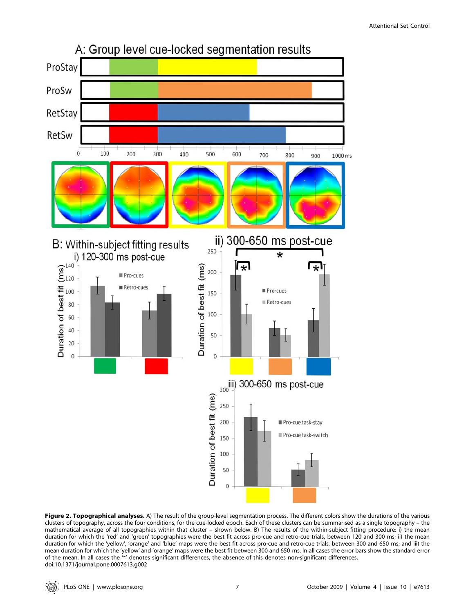

Figure 2. Topographical analyses. A) The result of the group-level segmentation process. The different colors show the durations of the various clusters of topography, across the four conditions, for the cue-locked epoch. Each of these clusters can be summarised as a single topography – the mathematical average of all topographies within that cluster – shown below. B) The results of the within-subject fitting procedure: i) the mean duration for which the 'red' and 'green' topographies were the best fit across pro-cue and retro-cue trials, between 120 and 300 ms; ii) the mean duration for which the 'yellow', 'orange' and 'blue' maps were the best fit across pro-cue and retro-cue trials, between 300 and 650 ms; and iii) the mean duration for which the 'yellow' and 'orange' maps were the best fit between 300 and 650 ms. In all cases the error bars show the standard error of the mean. In all cases the '\*' denotes significant differences, the absence of this denotes non-significant differences. doi:10.1371/journal.pone.0007613.g002

## $\otimes$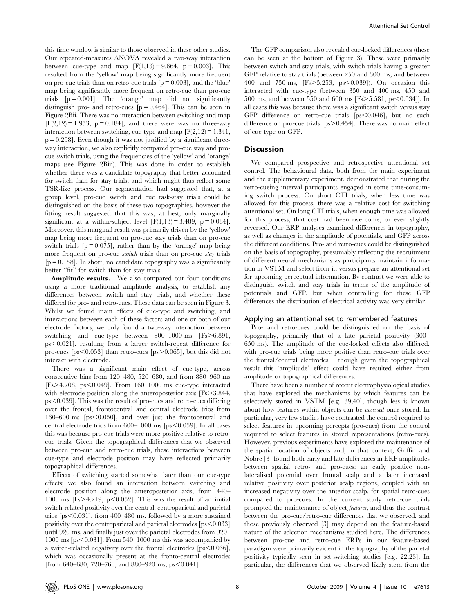this time window is similar to those observed in these other studies. Our repeated-measures ANOVA revealed a two-way interaction between cue-type and map  $[F(1,13) = 9.664, p = 0.003]$ . This resulted from the 'yellow' map being significantly more frequent on pro-cue trials than on retro-cue trials  $[p = 0.003]$ , and the 'blue' map being significantly more frequent on retro-cue than pro-cue trials  $[p = 0.001]$ . The 'orange' map did not significantly distinguish pro- and retro-cues  $[p = 0.464]$ . This can be seen in Figure 2Bii. There was no interaction between switching and map  $[F(2,12) = 1.953, p = 0.184]$ , and there were was no three-way interaction between switching, cue-type and map  $[F(2,12) = 1.341]$ ,  $p = 0.298$ . Even though it was not justified by a significant threeway interaction, we also explicitly compared pro-cue stay and procue switch trials, using the frequencies of the 'yellow' and 'orange' maps (see Figure 2Biii). This was done in order to establish whether there was a candidate topography that better accounted for switch than for stay trials, and which might thus reflect some TSR-like process. Our segmentation had suggested that, at a group level, pro-cue switch and cue task-stay trials could be distinguished on the basis of these two topographies, however the fitting result suggested that this was, at best, only marginally significant at a within-subject level  $[F(1,13) = 3.489, p = 0.084]$ . Moreover, this marginal result was primarily driven by the 'yellow' map being more frequent on pro-cue stay trials than on pro-cue switch trials  $[p = 0.075]$ , rather than by the 'orange' map being more frequent on pro-cue *switch* trials than on pro-cue *stay* trials  $[p = 0.158]$ . In short, no candidate topography was a significantly better "fit" for switch than for stay trials.

Amplitude results. We also compared our four conditions using a more traditional amplitude analysis, to establish any differences between switch and stay trials, and whether these differed for pro- and retro-cues. These data can be seen in Figure 3. Whilst we found main effects of cue-type and switching, and interactions between each of these factors and one or both of our electrode factors, we only found a two-way interaction between switching and cue-type between  $800-1000$  ms  $[Fs \geq 6.891]$ ,  $ps<0.021$ ], resulting from a larger switch-repeat difference for pro-cues [ps<0.053] than retro-cues [ps>0.065], but this did not interact with electrode.

There was a significant main effect of cue-type, across consecutive bins from 120–480, 520–680, and from 880–960 ms  $[Fs>4.708, ps<0.049]$ . From 160–1000 ms cue-type interacted with electrode position along the anteroposterior axis [Fs>3.844,  $ps<0.039$ ]. This was the result of pro-cues and retro-cues differing over the frontal, frontocentral and central electrode trios from  $160-600$  ms [ps $\leq 0.050$ ], and over just the frontocentral and central electrode trios from  $600-1000$  ms [ps $\leq 0.059$ ]. In all cases this was because pro-cue trials were more positive relative to retrocue trials. Given the topographical differences that we observed between pro-cue and retro-cue trials, these interactions between cue-type and electrode position may have reflected primarily topographical differences.

Effects of switching started somewhat later than our cue-type effects; we also found an interaction between switching and electrode position along the anteroposterior axis, from 440– 1000 ms  $[Fs>4.219, p<0.052]$ . This was the result of an initial switch-related positivity over the central, centroparietal and parietal trios  $[ps<0.031]$ , from 400–480 ms, followed by a more sustained positivity over the centroparietal and parietal electrodes  $[ps<0.033]$ until 920 ms, and finally just over the parietal electrodes from 920– 1000 ms [ $ps<0.031$ ]. From 540–1000 ms this was accompanied by a switch-related negativity over the frontal electrodes  $[ps<0.036]$ , which was occasionally present at the fronto-central electrodes [from 640–680, 720–760, and 880–920 ms, ps $\leq 0.041$ ].

The GFP comparison also revealed cue-locked differences (these can be seen at the bottom of Figure 3). These were primarily between switch and stay trials, with switch trials having a greater GFP relative to stay trials (between 250 and 300 ms, and between 400 and 750 ms,  $[Fs \ge 5.253, ps \le 0.039]$ ). On occasion this interacted with cue-type (between 350 and 400 ms, 450 and 500 ms, and between 550 and 600 ms  $[Fs \ge 5.581, ps \le 0.034]$ ). In all cases this was because there was a significant switch versus stay GFP difference on retro-cue trials  $[ps<0.046]$ , but no such difference on pro-cue trials  $[ps>0.454]$ . There was no main effect of cue-type on GFP.

## **Discussion**

We compared prospective and retrospective attentional set control. The behavioural data, both from the main experiment and the supplementary experiment, demonstrated that during the retro-cueing interval participants engaged in some time-consuming switch process. On short CTI trials, when less time was allowed for this process, there was a relative cost for switching attentional set. On long CTI trials, when enough time was allowed for this process, that cost had been overcome, or even slightly reversed. Our ERP analyses examined differences in topography, as well as changes in the amplitude of potentials, and GFP across the different conditions. Pro- and retro-cues could be distinguished on the basis of topography, presumably reflecting the recruitment of different neural mechanisms as participants maintain information in VSTM and select from it, versus prepare an attentional set for upcoming perceptual information. By contrast we were able to distinguish switch and stay trials in terms of the amplitude of potentials and GFP, but when controlling for these GFP differences the distribution of electrical activity was very similar.

#### Applying an attentional set to remembered features

Pro- and retro-cues could be distinguished on the basis of topography, primarily that of a late parietal positivity (300– 650 ms). The amplitude of the cue-locked effects also differed, with pro-cue trials being more positive than retro-cue trials over the frontal/central electrodes – though given the topographical result this 'amplitude' effect could have resulted either from amplitude or topographical differences.

There have been a number of recent electrophysiological studies that have explored the mechanisms by which features can be selectively stored in VSTM [e.g. 39,40], though less is known about how features within objects can be accessed once stored. In particular, very few studies have contrasted the control required to select features in upcoming percepts (pro-cues) from the control required to select features in stored representations (retro-cues). However, previous experiments have explored the maintenance of the spatial location of objects and, in that context, Griffin and Nobre [3] found both early and late differences in ERP amplitudes between spatial retro- and pro-cues: an early positive nonlateralised potential over frontal scalp and a later increased relative positivity over posterior scalp regions, coupled with an increased negativity over the anterior scalp, for spatial retro-cues compared to pro-cues. In the current study retro-cue trials prompted the maintenance of object features, and thus the contrast between the pro-cue/retro-cue differences that we observed, and those previously observed [3] may depend on the feature-based nature of the selection mechanisms studied here. The differences between pro-cue and retro-cue ERPs in our feature-based paradigm were primarily evident in the topography of the parietal positivity typically seen in set-switching studies [e.g. 22,23]. In particular, the differences that we observed likely stem from the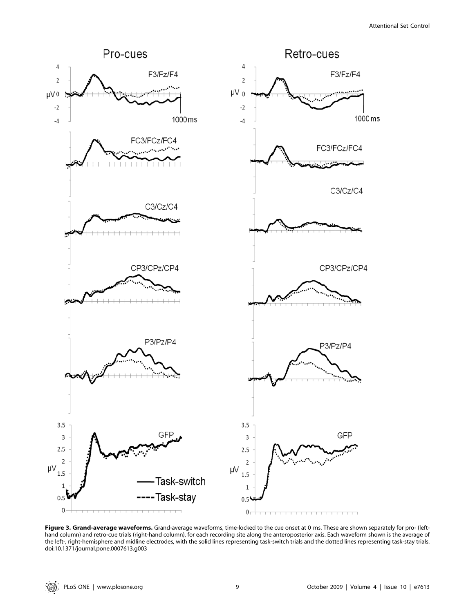

Figure 3. Grand-average waveforms. Grand-average waveforms, time-locked to the cue onset at 0 ms. These are shown separately for pro- (lefthand column) and retro-cue trials (right-hand column), for each recording site along the anteroposterior axis. Each waveform shown is the average of the left-, right-hemisphere and midline electrodes, with the solid lines representing task-switch trials and the dotted lines representing task-stay trials. doi:10.1371/journal.pone.0007613.g003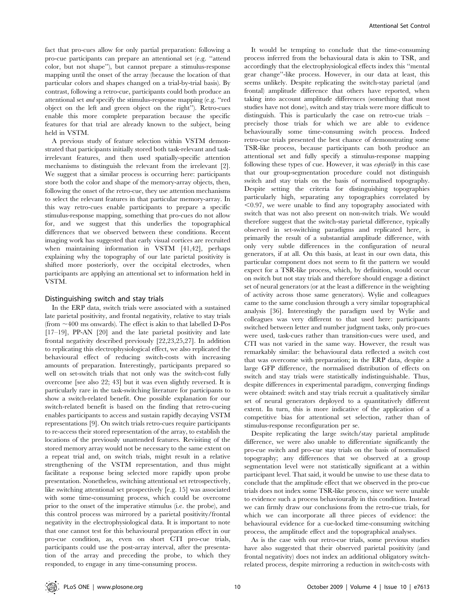fact that pro-cues allow for only partial preparation: following a pro-cue participants can prepare an attentional set (e.g. ''attend color, but not shape''), but cannot prepare a stimulus-response mapping until the onset of the array (because the location of that particular colors and shapes changed on a trial-by-trial basis). By contrast, following a retro-cue, participants could both produce an attentional set and specify the stimulus-response mapping (e.g. ''red object on the left and green object on the right''). Retro-cues enable this more complete preparation because the specific features for that trial are already known to the subject, being held in VSTM.

A previous study of feature selection within VSTM demonstrated that participants initially stored both task-relevant and taskirrelevant features, and then used spatially-specific attention mechanisms to distinguish the relevant from the irrelevant [2]. We suggest that a similar process is occurring here: participants store both the color and shape of the memory-array objects, then, following the onset of the retro-cue, they use attention mechanisms to select the relevant features in that particular memory-array. In this way retro-cues enable participants to prepare a specific stimulus-response mapping, something that pro-cues do not allow for, and we suggest that this underlies the topographical differences that we observed between these conditions. Recent imaging work has suggested that early visual cortices are recruited when maintaining information in VSTM [41,42], perhaps explaining why the topography of our late parietal positivity is shifted more posteriorly, over the occipital electrodes, when participants are applying an attentional set to information held in VSTM.

## Distinguishing switch and stay trials

In the ERP data, switch trials were associated with a sustained late parietal positivity, and frontal negativity, relative to stay trials (from  $\sim$ 400 ms onwards). The effect is akin to that labelled D-Pos [17–19], PP-AN [20] and the late parietal positivity and late frontal negativity described previously [22,23,25,27]. In addition to replicating this electrophysiological effect, we also replicated the behavioural effect of reducing switch-costs with increasing amounts of preparation. Interestingly, participants prepared so well on set-switch trials that not only was the switch-cost fully overcome [see also 22; 43] but it was even slightly reversed. It is particularly rare in the task-switching literature for participants to show a switch-related benefit. One possible explanation for our switch-related benefit is based on the finding that retro-cueing enables participants to access and sustain rapidly decaying VSTM representations [9]. On switch trials retro-cues require participants to re-access their stored representation of the array, to establish the locations of the previously unattended features. Revisiting of the stored memory array would not be necessary to the same extent on a repeat trial and, on switch trials, might result in a relative strengthening of the VSTM representation, and thus might facilitate a response being selected more rapidly upon probe presentation. Nonetheless, switching attentional set retrospectively, like switching attentional set prospectively [e.g. 15] was associated with some time-consuming process, which could be overcome prior to the onset of the imperative stimulus (i.e. the probe), and this control process was mirrored by a parietal positivity/frontal negativity in the electrophysiological data. It is important to note that one cannot test for this behavioural preparation effect in our pro-cue condition, as, even on short CTI pro-cue trials, participants could use the post-array interval, after the presentation of the array and preceding the probe, to which they responded, to engage in any time-consuming process.

It would be tempting to conclude that the time-consuming process inferred from the behavioural data is akin to TSR, and accordingly that the electrophysiological effects index this ''mental gear change''-like process. However, in our data at least, this seems unlikely. Despite replicating the switch-stay parietal (and frontal) amplitude difference that others have reported, when taking into account amplitude differences (something that most studies have not done), switch and stay trials were more difficult to distinguish. This is particularly the case on retro-cue trials – precisely those trials for which we are able to evidence behaviourally some time-consuming switch process. Indeed retro-cue trials presented the best chance of demonstrating some TSR-like process, because participants can both produce an attentional set and fully specify a stimulus-response mapping following these types of cue. However, it was especially in this case that our group-segmentation procedure could not distinguish switch and stay trials on the basis of normalised topography. Despite setting the criteria for distinguishing topographies particularly high, separating any topographies correlated by  $<$ 0.97, we were unable to find any topography associated with switch that was not also present on non-switch trials. We would therefore suggest that the switch-stay parietal difference, typically observed in set-switching paradigms and replicated here, is primarily the result of a substantial amplitude difference, with only very subtle differences in the configuration of neural generators, if at all. On this basis, at least in our own data, this particular component does not seem to fit the pattern we would expect for a TSR-like process, which, by definition, would occur on switch but not stay trials and therefore should engage a distinct set of neural generators (or at the least a difference in the weighting of activity across those same generators). Wylie and colleagues came to the same conclusion through a very similar topographical analysis [36]. Interestingly the paradigm used by Wylie and colleagues was very different to that used here: participants switched between letter and number judgment tasks, only pro-cues were used, task-cues rather than transition-cues were used, and CTI was not varied in the same way. However, the result was remarkably similar: the behavioural data reflected a switch cost that was overcome with preparation; in the ERP data, despite a large GFP difference, the normalised distribution of effects on switch and stay trials were statistically indistinguishable. Thus, despite differences in experimental paradigm, converging findings were obtained: switch and stay trials recruit a qualitatively similar set of neural generators deployed to a quantitatively different extent. In turn, this is more indicative of the application of a competitive bias for attentional set selection, rather than of stimulus-response reconfiguration per se.

Despite replicating the large switch/stay parietal amplitude difference, we were also unable to differentiate significantly the pro-cue switch and pro-cue stay trials on the basis of normalised topography; any differences that we observed at a group segmentation level were not statistically significant at a within participant level. That said, it would be unwise to use these data to conclude that the amplitude effect that we observed in the pro-cue trials does not index some TSR-like process, since we were unable to evidence such a process behaviourally in this condition. Instead we can firmly draw our conclusions from the retro-cue trials, for which we can incorporate all three pieces of evidence: the behavioural evidence for a cue-locked time-consuming switching process, the amplitude effect and the topographical analyses.

As is the case with our retro-cue trials, some previous studies have also suggested that their observed parietal positivity (and frontal negativity) does not index an additional obligatory switchrelated process, despite mirroring a reduction in switch-costs with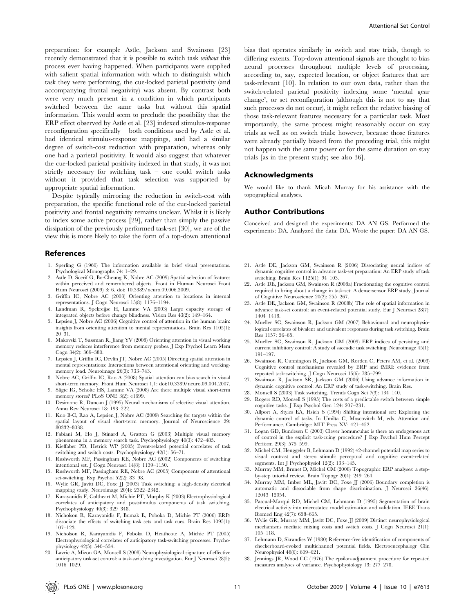preparation: for example Astle, Jackson and Swainson [23] recently demonstrated that it is possible to switch task without this process ever having happened. When participants were supplied with salient spatial information with which to distinguish which task they were performing, the cue-locked parietal positivity (and accompanying frontal negativity) was absent. By contrast both were very much present in a condition in which participants switched between the same tasks but without this spatial information. This would seem to preclude the possibility that the ERP effect observed by Astle et al. [23] indexed stimulus-response reconfiguration specifically – both conditions used by Astle et al. had identical stimulus-response mappings, and had a similar degree of switch-cost reduction with preparation, whereas only one had a parietal positivity. It would also suggest that whatever the cue-locked parietal positivity indexed in that study, it was not strictly necessary for switching task – one could switch tasks without it provided that task selection was supported by appropriate spatial information.

Despite typically mirroring the reduction in switch-cost with preparation, the specific functional role of the cue-locked parietal positivity and frontal negativity remains unclear. Whilst it is likely to index some active process [29], rather than simply the passive dissipation of the previously performed task-set [30], we are of the view this is more likely to take the form of a top-down attentional

# References

- 1. Sperling G (1960) The information available in brief visual presentations. Psychological Monographs 74: 1–29.
- Astle D, Scerif G, Bo-Cheung K, Nobre AC (2009) Spatial selection of features within perceived and remembered objects. Front in Human Neurosci Front Hum Neurosci (2009) 3: 6. doi: 10.3389/neuro.09.006.2009.
- 3. Griffin IC, Nobre AC (2003) Orienting attention to locations in internal representations. J Cogn Neurosci 15(8): 1176–1194.
- 4. Landman R, Spekreijse H, Lamme VA (2003) Large capacity storage of integrated objects before change blindness. Vision Res 43(2): 149–164.
- 5. Lepsien J, Nobre AC (2006) Cognitive control of attention in the human brain: insights from orienting attention to mental representations. Brain Res 1105(1): 20–31.
- 6. Makovski T, Sussman R, Jiang YV (2008) Orienting attention in visual working memory reduces interference from memory probes. J Exp Psychol Learn Mem Cogn 34(2): 369–380.
- 7. Lepsien J, Griffin IC, Devlin JT, Nobre AC (2005) Directing spatial attention in mental representations: Interactions between attentional orienting and workingmemory load. Neuroimage 26(3): 733–743.
- 8. Nobre AC, Griffin IC, Rao A (2008) Spatial attention can bias search in visual short-term memory. Front Hum Neurosci 1,1: doi:10.3389/neuro.09.004.2007.
- 9. Sligte IG, Scholte HS, Lamme VA (2008) Are there multiple visual short-term memory stores? PLoS ONE 3(2): e1699.
- 10. Desimone R, Duncan J (1995) Neural mechanisms of selective visual attention. Annu Rev Neurosci 18: 193–222.
- 11. Kuo B-C, Rao A, Lepsien J, Nobre AC (2009) Searching for targets within the spatial layout of visual short-term memory. Journal of Neuroscience 29: 80332–8038.
- 12. Fabiani M, Ho J, Stinard A, Gratton G (2003) Multiple visual memory phenomena in a memory search task. Psychophysiology 40(3): 472–485.
- 13. Kieffaber PD, Hetrick WP (2005) Event-related potential correlates of task switching and switch costs. Psychophysiology 42(1): 56–71.
- 14. Rushworth MF, Passingham RE, Nobre AC (2002) Components of switching intentional set. J Cogn Neurosci 14(8): 1139–1150.
- 15. Rushworth MF, Passingham RE, Nobre AC (2005) Components of attentional set-switching. Exp Psychol 52(2): 83–98.
- 16. Wylie GR, Javitt DC, Foxe JJ (2003) Task switching: a high-density electrical mapping study. Neuroimage 20(4): 2322–2342.
- 17. Karayanidis F, Coltheart M, Michie PT, Murphy K (2003) Electrophysiological correlates of anticipatory and poststimulus components of task switching. Psychophysiology 40(3): 329–348.
- 18. Nicholson R, Karayanidis F, Bumak E, Poboka D, Michie PT (2006) ERPs dissociate the effects of switching task sets and task cues. Brain Res 1095(1): 107–123.
- 19. Nicholson R, Karayanidis F, Poboka D, Heathcote A, Michie PT (2005) Electrophysiological correlates of anticipatory task-switching processes. Psychophysiology 42(5): 540–554.
- 20. Lavric A, Mizon GA, Monsell S (2008) Neurophysiological signature of effective anticipatory task-set control: a task-switching investigation. Eur J Neurosci 28(5): 1016–1029.

bias that operates similarly in switch and stay trials, though to differing extents. Top-down attentional signals are thought to bias neural processes throughout multiple levels of processing, according to, say, expected location, or object features that are task-relevant [10]. In relation to our own data, rather than the switch-related parietal positivity indexing some 'mental gear change', or set reconfiguration (although this is not to say that such processes do not occur), it might reflect the relative biasing of those task-relevant features necessary for a particular task. Most importantly, the same process might reasonably occur on stay trials as well as on switch trials; however, because those features were already partially biased from the preceding trial, this might not happen with the same power or for the same duration on stay trials [as in the present study; see also 36].

## Acknowledgments

We would like to thank Micah Murray for his assistance with the topographical analyses.

## Author Contributions

Conceived and designed the experiments: DA AN GS. Performed the experiments: DA. Analyzed the data: DA. Wrote the paper: DA AN GS.

- 21. Astle DE, Jackson GM, Swainson R (2006) Dissociating neural indices of dynamic cognitive control in advance task-set preparation: An ERP study of task switching. Brain Res 1125(1): 94–103.
- 22. Astle DE, Jackson GM, Swainson R (2008a) Fractionating the cognitive control required to bring about a change in task-set: A dense-sensor ERP study. Journal of Cognitive Neuroscience 20(2): 255–267.
- 23. Astle DE, Jackson GM, Swainson R (2008b) The role of spatial information in advance task-set control: an event-related potential study. Eur J Neurosci 28(7): 1404–1418.
- 24. Mueller SC, Swainson R, Jackson GM (2007) Behavioural and neurophysiological correlates of bivalent and univalent responses during task switching. Brain Res 1157: 56–65.
- 25. Mueller SC, Swainson R, Jackson GM (2009) ERP indices of persisting and current inhibitory control: A study of saccadic task switching. Neuroimage 45(1): 191–197.
- 26. Swainson R, Cunnington R, Jackson GM, Rorden C, Peters AM, et al. (2003) Cognitive control mechanisms revealed by ERP and fMRI: evidence from repeated task-switching. J Cogn Neurosci 15(6): 785–799.
- 27. Swainson R, Jackson SR, Jackson GM (2006) Using advance information in dynamic cognitive control: An ERP study of task-switching. Brain Res.
- 28. Monsell S (2003) Task switching. Trends Cogn Sci 7(3): 134–140.
- 29. Rogers RD, Monsell S (1995) The costs of a predictable switch between simple cognitive tasks. J Exp Psychol Gen 124: 207–231.
- 30. Allport A, Styles EA, Hsieh S (1994) Shifting intentional set: Exploring the dynamic control of tasks. In Umilta C, Moscovitch M, eds. Attention and Performance. Cambridge: MIT Press XV: 421–452.
- 31. Logan GD, Bundesen C (2003) Clever homunculus: is there an endogenous act of control in the explicit task-cuing procedure? J Exp Psychol Hum Percept Perform 29(3): 575–599.
- 32. Michel CM, Henggeler B, Lehmann D (1992) 42-channel potential map series to visual contrast and stereo stimuli: perceptual and cognitive event-related segments. Int J Psychophysiol 12(2): 133–145.
- 33. Murray MM, Brunet D, Michel CM (2008) Topographic ERP analyses: a stepby-step tutorial review. Brain Topogr 20(4): 249–264.
- 34. Murray MM, Imber ML, Javitt DC, Foxe JJ (2006) Boundary completion is automatic and dissociable from shape discrimination. J Neurosci 26(46): 12043–12054.
- 35. Pascual-Marqui RD, Michel CM, Lehmann D (1995) Segmentation of brain electrical activity into microstates: model estimation and validation. IEEE Trans Biomed Eng 42(7): 658–665.
- 36. Wylie GR, Murray MM, Javitt DC, Foxe JJ (2009) Distinct neurophysiological mechanisms mediate mixing costs and switch costs. J Cogn Neurosci 21(1): 105–118.
- 37. Lehmann D, Skrandies W (1980) Reference-free identification of components of checkerboard-evoked multichannel potential fields. Electroencephalogr Clin Neurophysiol 48(6): 609–621.
- 38. Jennings JR, Wood CC (1976) The epsilon-adjustment procedure for repeated measures analyses of variance. Psychophysiology 13: 277–278.